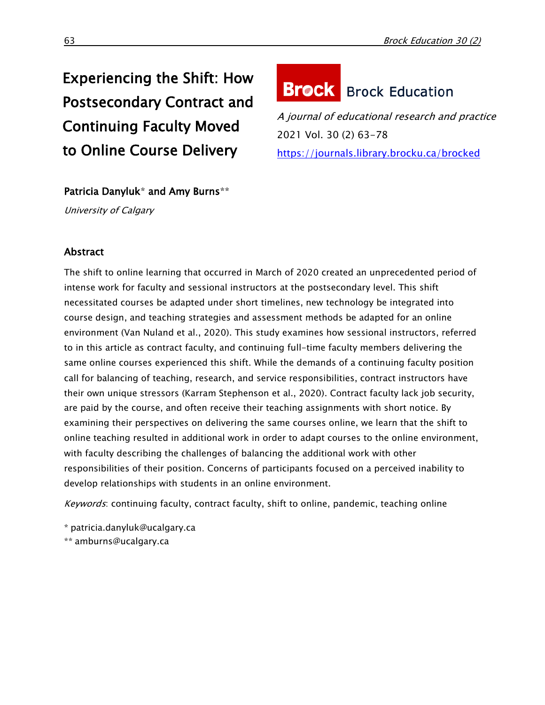## Experiencing the Shift: How Postsecondary Contract and Continuing Faculty Moved to Online Course Delivery

# **Brock** Brock Education

A journal of educational research and practice 2021 Vol. 30 (2) 63-78 <https://journals.library.brocku.ca/brocked>

## Patricia Danyluk\* and Amy Burns\*\*

University of Calgary

### Abstract

The shift to online learning that occurred in March of 2020 created an unprecedented period of intense work for faculty and sessional instructors at the postsecondary level. This shift necessitated courses be adapted under short timelines, new technology be integrated into course design, and teaching strategies and assessment methods be adapted for an online environment (Van Nuland et al., 2020). This study examines how sessional instructors, referred to in this article as contract faculty, and continuing full-time faculty members delivering the same online courses experienced this shift. While the demands of a continuing faculty position call for balancing of teaching, research, and service responsibilities, contract instructors have their own unique stressors (Karram Stephenson et al., 2020). Contract faculty lack job security, are paid by the course, and often receive their teaching assignments with short notice. By examining their perspectives on delivering the same courses online, we learn that the shift to online teaching resulted in additional work in order to adapt courses to the online environment, with faculty describing the challenges of balancing the additional work with other responsibilities of their position. Concerns of participants focused on a perceived inability to develop relationships with students in an online environment.

Keywords: continuing faculty, contract faculty, shift to online, pandemic, teaching online

[\\* patricia.danyluk@ucalgary.ca](mailto:*%20patricia.danyluk@ucalgary.ca)

\*\* [amburns@ucalgary.ca](file:///E:/amburns@ucalgary.ca)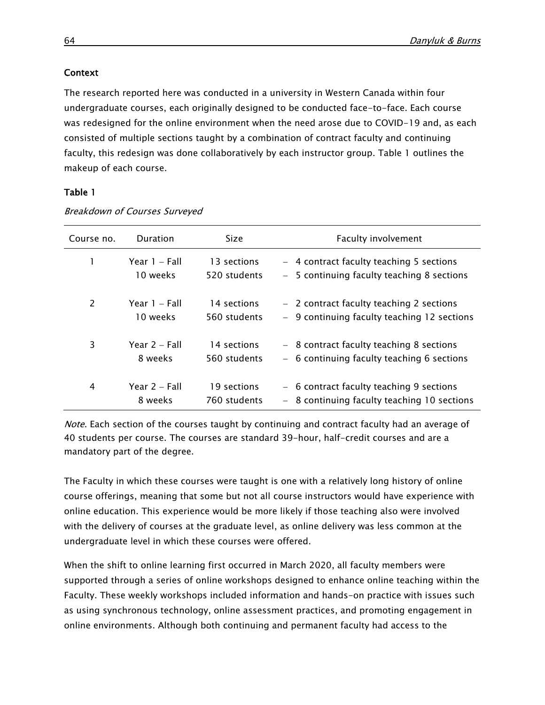#### **Context**

The research reported here was conducted in a university in Western Canada within four undergraduate courses, each originally designed to be conducted face-to-face. Each course was redesigned for the online environment when the need arose due to COVID-19 and, as each consisted of multiple sections taught by a combination of contract faculty and continuing faculty, this redesign was done collaboratively by each instructor group. Table 1 outlines the makeup of each course.

#### Table 1

| Course no. | Duration      | <b>Size</b>  | Faculty involvement                         |
|------------|---------------|--------------|---------------------------------------------|
|            | Year 1 – Fall | 13 sections  | - 4 contract faculty teaching 5 sections    |
|            | 10 weeks      | 520 students | - 5 continuing faculty teaching 8 sections  |
| 2          | Year 1 – Fall | 14 sections  | - 2 contract faculty teaching 2 sections    |
|            | 10 weeks      | 560 students | - 9 continuing faculty teaching 12 sections |
| 3          | Year 2 - Fall | 14 sections  | - 8 contract faculty teaching 8 sections    |
|            | 8 weeks       | 560 students | - 6 continuing faculty teaching 6 sections  |
| 4          | Year 2 – Fall | 19 sections  | - 6 contract faculty teaching 9 sections    |
|            | 8 weeks       | 760 students | - 8 continuing faculty teaching 10 sections |

Breakdown of Courses Surveyed

Note. Each section of the courses taught by continuing and contract faculty had an average of 40 students per course. The courses are standard 39-hour, half-credit courses and are a mandatory part of the degree.

The Faculty in which these courses were taught is one with a relatively long history of online course offerings, meaning that some but not all course instructors would have experience with online education. This experience would be more likely if those teaching also were involved with the delivery of courses at the graduate level, as online delivery was less common at the undergraduate level in which these courses were offered.

When the shift to online learning first occurred in March 2020, all faculty members were supported through a series of online workshops designed to enhance online teaching within the Faculty. These weekly workshops included information and hands-on practice with issues such as using synchronous technology, online assessment practices, and promoting engagement in online environments. Although both continuing and permanent faculty had access to the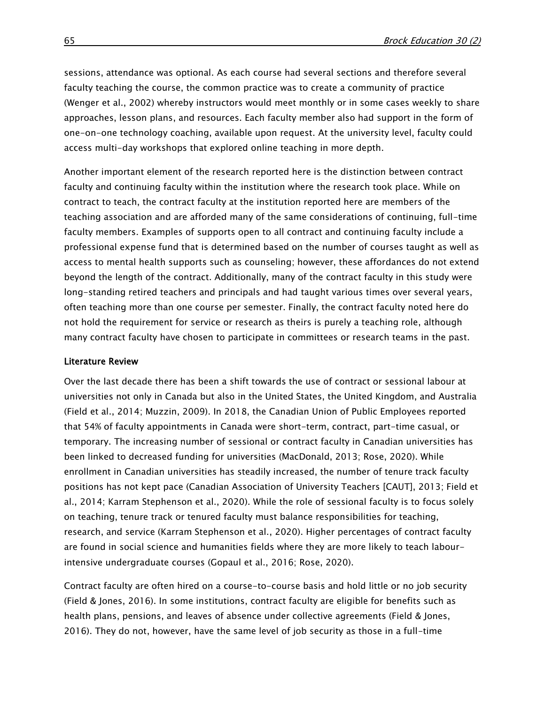sessions, attendance was optional. As each course had several sections and therefore several faculty teaching the course, the common practice was to create a community of practice (Wenger et al., 2002) whereby instructors would meet monthly or in some cases weekly to share approaches, lesson plans, and resources. Each faculty member also had support in the form of one-on-one technology coaching, available upon request. At the university level, faculty could access multi-day workshops that explored online teaching in more depth.

Another important element of the research reported here is the distinction between contract faculty and continuing faculty within the institution where the research took place. While on contract to teach, the contract faculty at the institution reported here are members of the teaching association and are afforded many of the same considerations of continuing, full-time faculty members. Examples of supports open to all contract and continuing faculty include a professional expense fund that is determined based on the number of courses taught as well as access to mental health supports such as counseling; however, these affordances do not extend beyond the length of the contract. Additionally, many of the contract faculty in this study were long-standing retired teachers and principals and had taught various times over several years, often teaching more than one course per semester. Finally, the contract faculty noted here do not hold the requirement for service or research as theirs is purely a teaching role, although many contract faculty have chosen to participate in committees or research teams in the past.

#### Literature Review

Over the last decade there has been a shift towards the use of contract or sessional labour at universities not only in Canada but also in the United States, the United Kingdom, and Australia (Field et al., 2014; Muzzin, 2009). In 2018, the Canadian Union of Public Employees reported that 54% of faculty appointments in Canada were short-term, contract, part-time casual, or temporary. The increasing number of sessional or contract faculty in Canadian universities has been linked to decreased funding for universities (MacDonald, 2013; Rose, 2020). While enrollment in Canadian universities has steadily increased, the number of tenure track faculty positions has not kept pace (Canadian Association of University Teachers [CAUT], 2013; Field et al., 2014; [Karram](https://ir.lib.hiroshima-u.ac.jp/en/journal/HighEduForum/17/--/article/48953) Stephenson et al., 2020). While the role of sessional faculty is to focus solely on teaching, tenure track or tenured faculty must balance responsibilities for teaching, research, and service (Karram Stephenson et al., 2020). Higher percentages of contract faculty are found in social science and humanities fields where they are more likely to teach labourintensive undergraduate courses (Gopaul et al., 2016; Rose, 2020).

Contract faculty are often hired on a course-to-course basis and hold little or no job security (Field & Jones, 2016). In some institutions, contract faculty are eligible for benefits such as health plans, pensions, and leaves of absence under collective agreements (Field & Jones, 2016). They do not, however, have the same level of job security as those in a full-time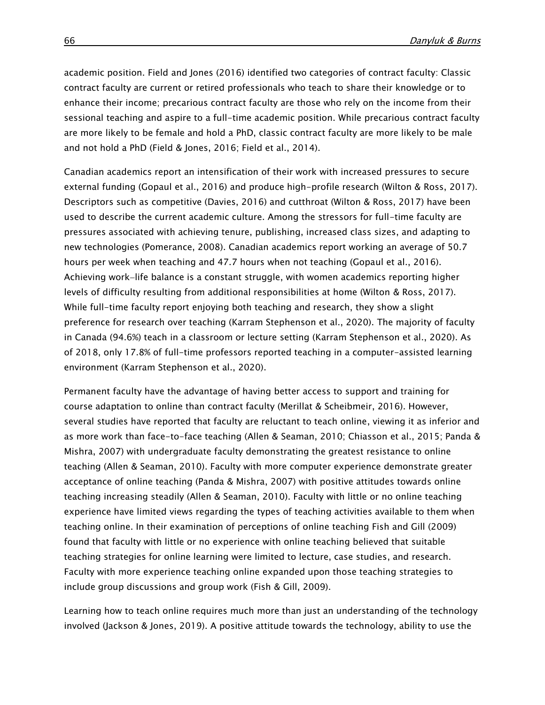academic position. Field and Jones (2016) identified two categories of contract faculty: Classic contract faculty are current or retired professionals who teach to share their knowledge or to enhance their income; precarious contract faculty are those who rely on the income from their sessional teaching and aspire to a full-time academic position. While precarious contract faculty are more likely to be female and hold a PhD, classic contract faculty are more likely to be male and not hold a PhD (Field & Jones, 2016; Field et al., 2014).

Canadian academics report an intensification of their work with increased pressures to secure external funding (Gopaul et al., 2016) and produce high-profile research (Wilton & Ross, 2017). Descriptors such as competitive (Davies, 2016) and cutthroat (Wilton & Ross, 2017) have been used to describe the current academic culture. Among the stressors for full-time faculty are pressures associated with achieving tenure, publishing, increased class sizes, and adapting to new technologies (Pomerance, 2008). Canadian academics report working an average of 50.7 hours per week when teaching and 47.7 hours when not teaching (Gopaul et al., 2016). Achieving work–life balance is a constant struggle, with women academics reporting higher levels of difficulty resulting from additional responsibilities at home (Wilton & Ross, 2017). While full-time faculty report enjoying both teaching and research, they show a slight preference for research over teaching [\(Karram](https://ir.lib.hiroshima-u.ac.jp/en/journal/HighEduForum/17/--/article/48953) Stephenson et al., 2020). The majority of faculty in Canada (94.6%) teach in a classroom or lecture setting [\(Karram](https://ir.lib.hiroshima-u.ac.jp/en/journal/HighEduForum/17/--/article/48953) Stephenson et al., 2020). As of 2018, only 17.8% of full-time professors reported teaching in a computer-assisted learning environment [\(Karram](https://ir.lib.hiroshima-u.ac.jp/en/journal/HighEduForum/17/--/article/48953) Stephenson et al., 2020).

Permanent faculty have the advantage of having better access to support and training for course adaptation to online than contract faculty (Merillat & Scheibmeir, 2016). However, several studies have reported that faculty are reluctant to teach online, viewing it as inferior and as more work than face-to-face teaching (Allen & Seaman, 2010; Chiasson et al., 2015; Panda & Mishra, 2007) with undergraduate faculty demonstrating the greatest resistance to online teaching (Allen & Seaman, 2010). Faculty with more computer experience demonstrate greater acceptance of online teaching (Panda & Mishra, 2007) with positive attitudes towards online teaching increasing steadily (Allen & Seaman, 2010). Faculty with little or no online teaching experience have limited views regarding the types of teaching activities available to them when teaching online. In their examination of perceptions of online teaching Fish and Gill (2009) found that faculty with little or no experience with online teaching believed that suitable teaching strategies for online learning were limited to lecture, case studies, and research. Faculty with more experience teaching online expanded upon those teaching strategies to include group discussions and group work (Fish & Gill, 2009).

Learning how to teach online requires much more than just an understanding of the technology involved (Jackson & Jones, 2019). A positive attitude towards the technology, ability to use the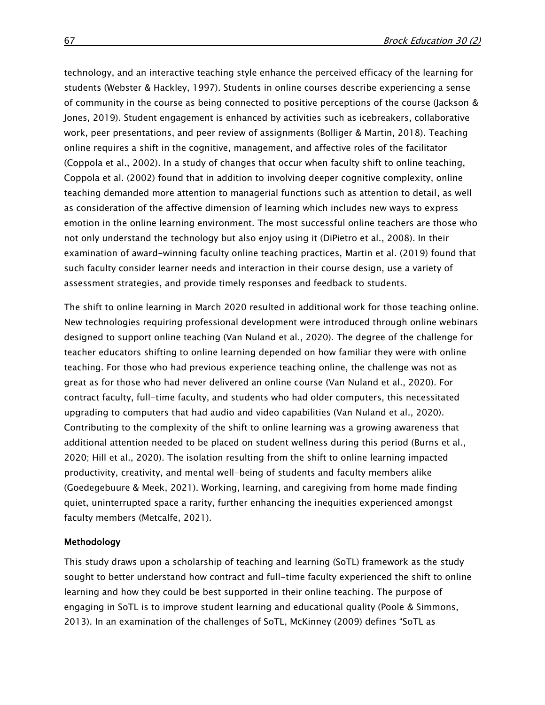technology, and an interactive teaching style enhance the perceived efficacy of the learning for students (Webster & Hackley, 1997). Students in online courses describe experiencing a sense of community in the course as being connected to positive perceptions of the course (Jackson & Jones, 2019). Student engagement is enhanced by activities such as icebreakers, collaborative work, peer presentations, and peer review of assignments (Bolliger & Martin, 2018). Teaching online requires a shift in the cognitive, management, and affective roles of the facilitator (Coppola et al., 2002). In a study of changes that occur when faculty shift to online teaching, Coppola et al. (2002) found that in addition to involving deeper cognitive complexity, online teaching demanded more attention to managerial functions such as attention to detail, as well as consideration of the affective dimension of learning which includes new ways to express emotion in the online learning environment. The most successful online teachers are those who not only understand the technology but also enjoy using it (DiPietro et al., 2008). In their examination of award-winning faculty online teaching practices, Martin et al. (2019) found that such faculty consider learner needs and interaction in their course design, use a variety of assessment strategies, and provide timely responses and feedback to students.

The shift to online learning in March 2020 resulted in additional work for those teaching online. New technologies requiring professional development were introduced through online webinars designed to support online teaching (Van Nuland et al., 2020). The degree of the challenge for teacher educators shifting to online learning depended on how familiar they were with online teaching. For those who had previous experience teaching online, the challenge was not as great as for those who had never delivered an online course (Van Nuland et al., 2020). For contract faculty, full-time faculty, and students who had older computers, this necessitated upgrading to computers that had audio and video capabilities (Van Nuland et al., 2020). Contributing to the complexity of the shift to online learning was a growing awareness that additional attention needed to be placed on student wellness during this period (Burns et al., 2020; Hill et al., 2020). The isolation resulting from the shift to online learning impacted productivity, creativity, and mental well-being of students and faculty members alike (Goedegebuure & Meek, 2021). Working, learning, and caregiving from home made finding quiet, uninterrupted space a rarity, further enhancing the inequities experienced amongst faculty members (Metcalfe, 2021).

#### Methodology

This study draws upon a scholarship of teaching and learning (SoTL) framework as the study sought to better understand how contract and full-time faculty experienced the shift to online learning and how they could be best supported in their online teaching. The purpose of engaging in SoTL is to improve student learning and educational quality (Poole & Simmons, 2013). In an examination of the challenges of SoTL, McKinney (2009) defines "SoTL as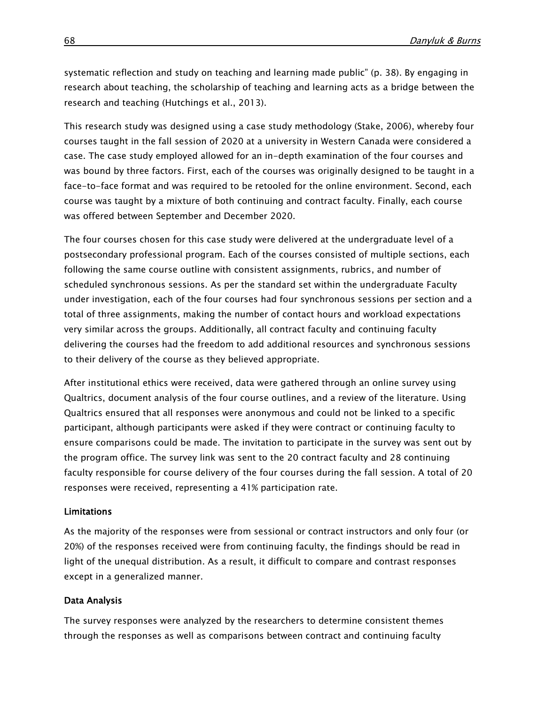systematic reflection and study on teaching and learning made public" (p. 38). By engaging in research about teaching, the scholarship of teaching and learning acts as a bridge between the research and teaching (Hutchings et al., 2013).

This research study was designed using a case study methodology (Stake, 2006), whereby four courses taught in the fall session of 2020 at a university in Western Canada were considered a case. The case study employed allowed for an in-depth examination of the four courses and was bound by three factors. First, each of the courses was originally designed to be taught in a face-to-face format and was required to be retooled for the online environment. Second, each course was taught by a mixture of both continuing and contract faculty. Finally, each course was offered between September and December 2020.

The four courses chosen for this case study were delivered at the undergraduate level of a postsecondary professional program. Each of the courses consisted of multiple sections, each following the same course outline with consistent assignments, rubrics, and number of scheduled synchronous sessions. As per the standard set within the undergraduate Faculty under investigation, each of the four courses had four synchronous sessions per section and a total of three assignments, making the number of contact hours and workload expectations very similar across the groups. Additionally, all contract faculty and continuing faculty delivering the courses had the freedom to add additional resources and synchronous sessions to their delivery of the course as they believed appropriate.

After institutional ethics were received, data were gathered through an online survey using Qualtrics, document analysis of the four course outlines, and a review of the literature. Using Qualtrics ensured that all responses were anonymous and could not be linked to a specific participant, although participants were asked if they were contract or continuing faculty to ensure comparisons could be made. The invitation to participate in the survey was sent out by the program office. The survey link was sent to the 20 contract faculty and 28 continuing faculty responsible for course delivery of the four courses during the fall session. A total of 20 responses were received, representing a 41% participation rate.

#### Limitations

As the majority of the responses were from sessional or contract instructors and only four (or 20%) of the responses received were from continuing faculty, the findings should be read in light of the unequal distribution. As a result, it difficult to compare and contrast responses except in a generalized manner.

#### Data Analysis

The survey responses were analyzed by the researchers to determine consistent themes through the responses as well as comparisons between contract and continuing faculty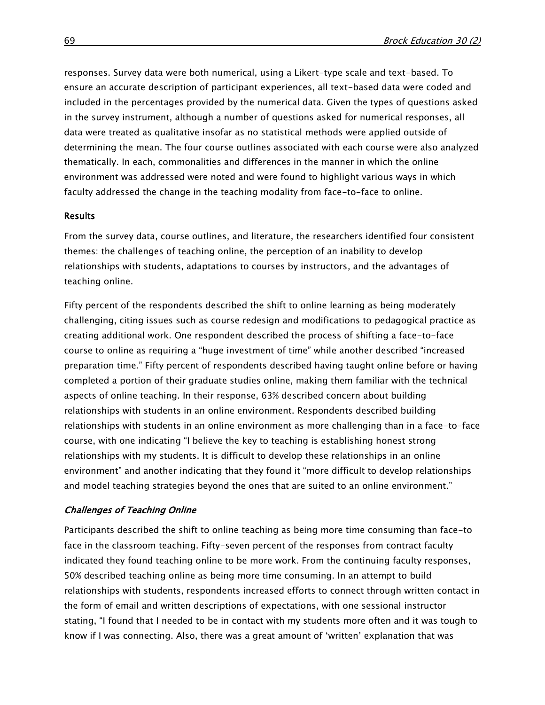responses. Survey data were both numerical, using a Likert-type scale and text-based. To ensure an accurate description of participant experiences, all text-based data were coded and included in the percentages provided by the numerical data. Given the types of questions asked in the survey instrument, although a number of questions asked for numerical responses, all data were treated as qualitative insofar as no statistical methods were applied outside of determining the mean. The four course outlines associated with each course were also analyzed thematically. In each, commonalities and differences in the manner in which the online environment was addressed were noted and were found to highlight various ways in which faculty addressed the change in the teaching modality from face-to-face to online.

#### **Results**

From the survey data, course outlines, and literature, the researchers identified four consistent themes: the challenges of teaching online, the perception of an inability to develop relationships with students, adaptations to courses by instructors, and the advantages of teaching online.

Fifty percent of the respondents described the shift to online learning as being moderately challenging, citing issues such as course redesign and modifications to pedagogical practice as creating additional work. One respondent described the process of shifting a face-to-face course to online as requiring a "huge investment of time" while another described "increased preparation time." Fifty percent of respondents described having taught online before or having completed a portion of their graduate studies online, making them familiar with the technical aspects of online teaching. In their response, 63% described concern about building relationships with students in an online environment. Respondents described building relationships with students in an online environment as more challenging than in a face-to-face course, with one indicating "I believe the key to teaching is establishing honest strong relationships with my students. It is difficult to develop these relationships in an online environment" and another indicating that they found it "more difficult to develop relationships and model teaching strategies beyond the ones that are suited to an online environment."

#### Challenges of Teaching Online

Participants described the shift to online teaching as being more time consuming than face-to face in the classroom teaching. Fifty-seven percent of the responses from contract faculty indicated they found teaching online to be more work. From the continuing faculty responses, 50% described teaching online as being more time consuming. In an attempt to build relationships with students, respondents increased efforts to connect through written contact in the form of email and written descriptions of expectations, with one sessional instructor stating, "I found that I needed to be in contact with my students more often and it was tough to know if I was connecting. Also, there was a great amount of 'written' explanation that was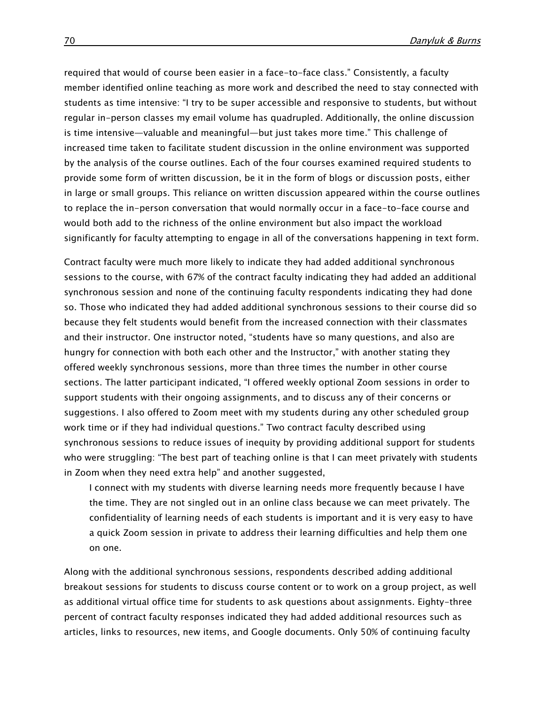required that would of course been easier in a face-to-face class." Consistently, a faculty member identified online teaching as more work and described the need to stay connected with students as time intensive: "I try to be super accessible and responsive to students, but without regular in-person classes my email volume has quadrupled. Additionally, the online discussion is time intensive—valuable and meaningful—but just takes more time." This challenge of increased time taken to facilitate student discussion in the online environment was supported by the analysis of the course outlines. Each of the four courses examined required students to provide some form of written discussion, be it in the form of blogs or discussion posts, either in large or small groups. This reliance on written discussion appeared within the course outlines to replace the in-person conversation that would normally occur in a face-to-face course and would both add to the richness of the online environment but also impact the workload significantly for faculty attempting to engage in all of the conversations happening in text form.

Contract faculty were much more likely to indicate they had added additional synchronous sessions to the course, with 67% of the contract faculty indicating they had added an additional synchronous session and none of the continuing faculty respondents indicating they had done so. Those who indicated they had added additional synchronous sessions to their course did so because they felt students would benefit from the increased connection with their classmates and their instructor. One instructor noted, "students have so many questions, and also are hungry for connection with both each other and the Instructor," with another stating they offered weekly synchronous sessions, more than three times the number in other course sections. The latter participant indicated, "I offered weekly optional Zoom sessions in order to support students with their ongoing assignments, and to discuss any of their concerns or suggestions. I also offered to Zoom meet with my students during any other scheduled group work time or if they had individual questions." Two contract faculty described using synchronous sessions to reduce issues of inequity by providing additional support for students who were struggling: "The best part of teaching online is that I can meet privately with students in Zoom when they need extra help" and another suggested,

I connect with my students with diverse learning needs more frequently because I have the time. They are not singled out in an online class because we can meet privately. The confidentiality of learning needs of each students is important and it is very easy to have a quick Zoom session in private to address their learning difficulties and help them one on one.

Along with the additional synchronous sessions, respondents described adding additional breakout sessions for students to discuss course content or to work on a group project, as well as additional virtual office time for students to ask questions about assignments. Eighty-three percent of contract faculty responses indicated they had added additional resources such as articles, links to resources, new items, and Google documents. Only 50% of continuing faculty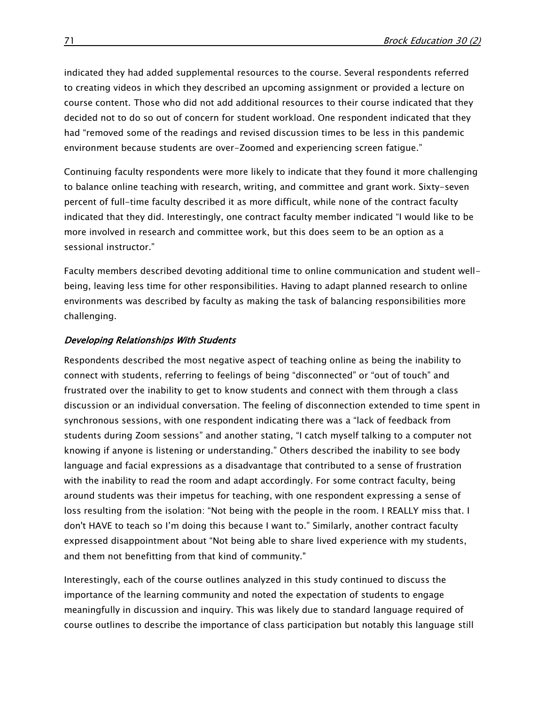indicated they had added supplemental resources to the course. Several respondents referred to creating videos in which they described an upcoming assignment or provided a lecture on course content. Those who did not add additional resources to their course indicated that they decided not to do so out of concern for student workload. One respondent indicated that they had "removed some of the readings and revised discussion times to be less in this pandemic environment because students are over-Zoomed and experiencing screen fatigue."

Continuing faculty respondents were more likely to indicate that they found it more challenging to balance online teaching with research, writing, and committee and grant work. Sixty-seven percent of full-time faculty described it as more difficult, while none of the contract faculty indicated that they did. Interestingly, one contract faculty member indicated "I would like to be more involved in research and committee work, but this does seem to be an option as a sessional instructor."

Faculty members described devoting additional time to online communication and student wellbeing, leaving less time for other responsibilities. Having to adapt planned research to online environments was described by faculty as making the task of balancing responsibilities more challenging.

#### Developing Relationships With Students

Respondents described the most negative aspect of teaching online as being the inability to connect with students, referring to feelings of being "disconnected" or "out of touch" and frustrated over the inability to get to know students and connect with them through a class discussion or an individual conversation. The feeling of disconnection extended to time spent in synchronous sessions, with one respondent indicating there was a "lack of feedback from students during Zoom sessions" and another stating, "I catch myself talking to a computer not knowing if anyone is listening or understanding." Others described the inability to see body language and facial expressions as a disadvantage that contributed to a sense of frustration with the inability to read the room and adapt accordingly. For some contract faculty, being around students was their impetus for teaching, with one respondent expressing a sense of loss resulting from the isolation: "Not being with the people in the room. I REALLY miss that. I don't HAVE to teach so I'm doing this because I want to." Similarly, another contract faculty expressed disappointment about "Not being able to share lived experience with my students, and them not benefitting from that kind of community."

Interestingly, each of the course outlines analyzed in this study continued to discuss the importance of the learning community and noted the expectation of students to engage meaningfully in discussion and inquiry. This was likely due to standard language required of course outlines to describe the importance of class participation but notably this language still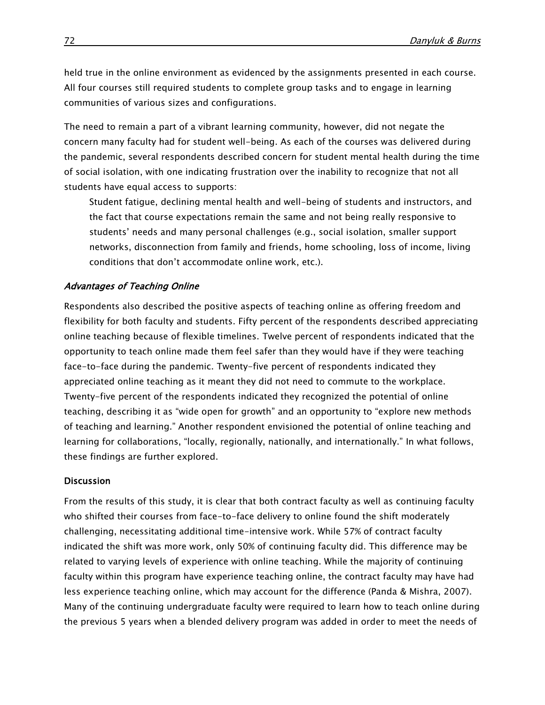held true in the online environment as evidenced by the assignments presented in each course. All four courses still required students to complete group tasks and to engage in learning communities of various sizes and configurations.

The need to remain a part of a vibrant learning community, however, did not negate the concern many faculty had for student well-being. As each of the courses was delivered during the pandemic, several respondents described concern for student mental health during the time of social isolation, with one indicating frustration over the inability to recognize that not all students have equal access to supports:

Student fatigue, declining mental health and well-being of students and instructors, and the fact that course expectations remain the same and not being really responsive to students' needs and many personal challenges (e.g., social isolation, smaller support networks, disconnection from family and friends, home schooling, loss of income, living conditions that don't accommodate online work, etc.).

#### Advantages of Teaching Online

Respondents also described the positive aspects of teaching online as offering freedom and flexibility for both faculty and students. Fifty percent of the respondents described appreciating online teaching because of flexible timelines. Twelve percent of respondents indicated that the opportunity to teach online made them feel safer than they would have if they were teaching face-to-face during the pandemic. Twenty-five percent of respondents indicated they appreciated online teaching as it meant they did not need to commute to the workplace. Twenty-five percent of the respondents indicated they recognized the potential of online teaching, describing it as "wide open for growth" and an opportunity to "explore new methods of teaching and learning." Another respondent envisioned the potential of online teaching and learning for collaborations, "locally, regionally, nationally, and internationally." In what follows, these findings are further explored.

#### **Discussion**

From the results of this study, it is clear that both contract faculty as well as continuing faculty who shifted their courses from face-to-face delivery to online found the shift moderately challenging, necessitating additional time-intensive work. While 57% of contract faculty indicated the shift was more work, only 50% of continuing faculty did. This difference may be related to varying levels of experience with online teaching. While the majority of continuing faculty within this program have experience teaching online, the contract faculty may have had less experience teaching online, which may account for the difference (Panda & Mishra, 2007). Many of the continuing undergraduate faculty were required to learn how to teach online during the previous 5 years when a blended delivery program was added in order to meet the needs of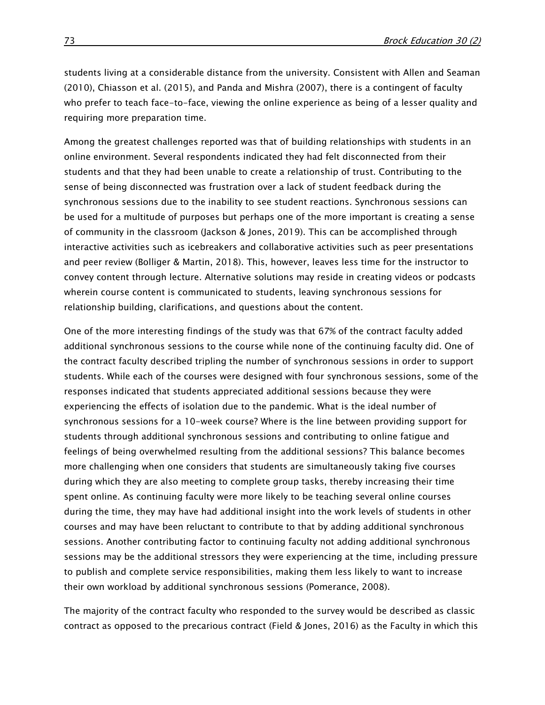students living at a considerable distance from the university. Consistent with Allen and Seaman (2010), Chiasson et al. (2015), and Panda and Mishra (2007), there is a contingent of faculty who prefer to teach face-to-face, viewing the online experience as being of a lesser quality and requiring more preparation time.

Among the greatest challenges reported was that of building relationships with students in an online environment. Several respondents indicated they had felt disconnected from their students and that they had been unable to create a relationship of trust. Contributing to the sense of being disconnected was frustration over a lack of student feedback during the synchronous sessions due to the inability to see student reactions. Synchronous sessions can be used for a multitude of purposes but perhaps one of the more important is creating a sense of community in the classroom (Jackson & Jones, 2019). This can be accomplished through interactive activities such as icebreakers and collaborative activities such as peer presentations and peer review (Bolliger & Martin, 2018). This, however, leaves less time for the instructor to convey content through lecture. Alternative solutions may reside in creating videos or podcasts wherein course content is communicated to students, leaving synchronous sessions for relationship building, clarifications, and questions about the content.

One of the more interesting findings of the study was that 67% of the contract faculty added additional synchronous sessions to the course while none of the continuing faculty did. One of the contract faculty described tripling the number of synchronous sessions in order to support students. While each of the courses were designed with four synchronous sessions, some of the responses indicated that students appreciated additional sessions because they were experiencing the effects of isolation due to the pandemic. What is the ideal number of synchronous sessions for a 10-week course? Where is the line between providing support for students through additional synchronous sessions and contributing to online fatigue and feelings of being overwhelmed resulting from the additional sessions? This balance becomes more challenging when one considers that students are simultaneously taking five courses during which they are also meeting to complete group tasks, thereby increasing their time spent online. As continuing faculty were more likely to be teaching several online courses during the time, they may have had additional insight into the work levels of students in other courses and may have been reluctant to contribute to that by adding additional synchronous sessions. Another contributing factor to continuing faculty not adding additional synchronous sessions may be the additional stressors they were experiencing at the time, including pressure to publish and complete service responsibilities, making them less likely to want to increase their own workload by additional synchronous sessions (Pomerance, 2008).

The majority of the contract faculty who responded to the survey would be described as classic contract as opposed to the precarious contract (Field & Jones, 2016) as the Faculty in which this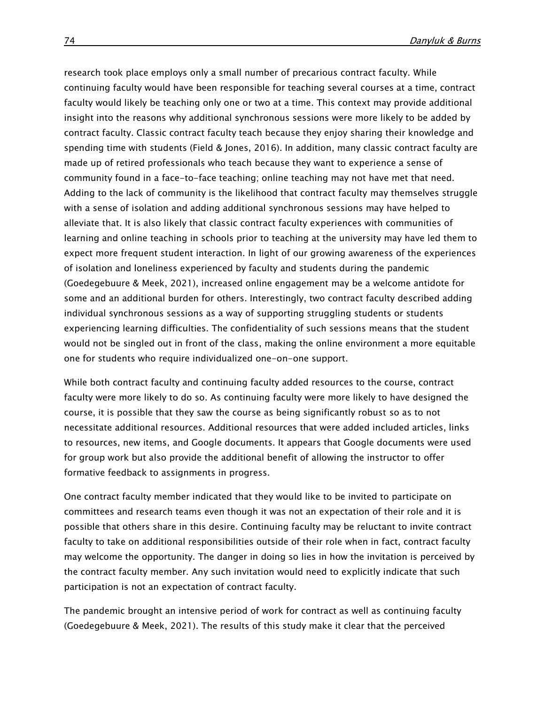research took place employs only a small number of precarious contract faculty. While continuing faculty would have been responsible for teaching several courses at a time, contract faculty would likely be teaching only one or two at a time. This context may provide additional insight into the reasons why additional synchronous sessions were more likely to be added by contract faculty. Classic contract faculty teach because they enjoy sharing their knowledge and spending time with students (Field & Jones, 2016). In addition, many classic contract faculty are made up of retired professionals who teach because they want to experience a sense of community found in a face-to-face teaching; online teaching may not have met that need. Adding to the lack of community is the likelihood that contract faculty may themselves struggle with a sense of isolation and adding additional synchronous sessions may have helped to alleviate that. It is also likely that classic contract faculty experiences with communities of learning and online teaching in schools prior to teaching at the university may have led them to expect more frequent student interaction. In light of our growing awareness of the experiences of isolation and loneliness experienced by faculty and students during the pandemic (Goedegebuure & Meek, 2021), increased online engagement may be a welcome antidote for some and an additional burden for others. Interestingly, two contract faculty described adding individual synchronous sessions as a way of supporting struggling students or students experiencing learning difficulties. The confidentiality of such sessions means that the student would not be singled out in front of the class, making the online environment a more equitable one for students who require individualized one-on-one support.

While both contract faculty and continuing faculty added resources to the course, contract faculty were more likely to do so. As continuing faculty were more likely to have designed the course, it is possible that they saw the course as being significantly robust so as to not necessitate additional resources. Additional resources that were added included articles, links to resources, new items, and Google documents. It appears that Google documents were used for group work but also provide the additional benefit of allowing the instructor to offer formative feedback to assignments in progress.

One contract faculty member indicated that they would like to be invited to participate on committees and research teams even though it was not an expectation of their role and it is possible that others share in this desire. Continuing faculty may be reluctant to invite contract faculty to take on additional responsibilities outside of their role when in fact, contract faculty may welcome the opportunity. The danger in doing so lies in how the invitation is perceived by the contract faculty member. Any such invitation would need to explicitly indicate that such participation is not an expectation of contract faculty.

The pandemic brought an intensive period of work for contract as well as continuing faculty (Goedegebuure & Meek, 2021). The results of this study make it clear that the perceived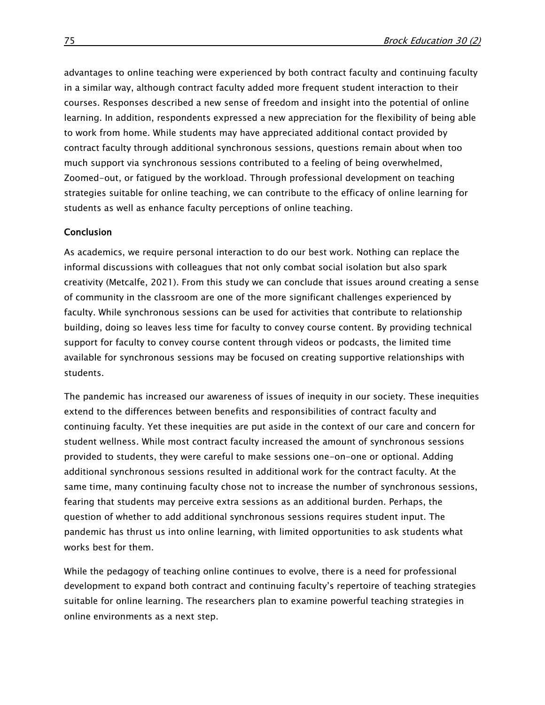advantages to online teaching were experienced by both contract faculty and continuing faculty in a similar way, although contract faculty added more frequent student interaction to their courses. Responses described a new sense of freedom and insight into the potential of online learning. In addition, respondents expressed a new appreciation for the flexibility of being able to work from home. While students may have appreciated additional contact provided by contract faculty through additional synchronous sessions, questions remain about when too much support via synchronous sessions contributed to a feeling of being overwhelmed, Zoomed-out, or fatigued by the workload. Through professional development on teaching strategies suitable for online teaching, we can contribute to the efficacy of online learning for students as well as enhance faculty perceptions of online teaching.

#### Conclusion

As academics, we require personal interaction to do our best work. Nothing can replace the informal discussions with colleagues that not only combat social isolation but also spark creativity (Metcalfe, 2021). From this study we can conclude that issues around creating a sense of community in the classroom are one of the more significant challenges experienced by faculty. While synchronous sessions can be used for activities that contribute to relationship building, doing so leaves less time for faculty to convey course content. By providing technical support for faculty to convey course content through videos or podcasts, the limited time available for synchronous sessions may be focused on creating supportive relationships with students.

The pandemic has increased our awareness of issues of inequity in our society. These inequities extend to the differences between benefits and responsibilities of contract faculty and continuing faculty. Yet these inequities are put aside in the context of our care and concern for student wellness. While most contract faculty increased the amount of synchronous sessions provided to students, they were careful to make sessions one-on-one or optional. Adding additional synchronous sessions resulted in additional work for the contract faculty. At the same time, many continuing faculty chose not to increase the number of synchronous sessions, fearing that students may perceive extra sessions as an additional burden. Perhaps, the question of whether to add additional synchronous sessions requires student input. The pandemic has thrust us into online learning, with limited opportunities to ask students what works best for them.

While the pedagogy of teaching online continues to evolve, there is a need for professional development to expand both contract and continuing faculty's repertoire of teaching strategies suitable for online learning. The researchers plan to examine powerful teaching strategies in online environments as a next step.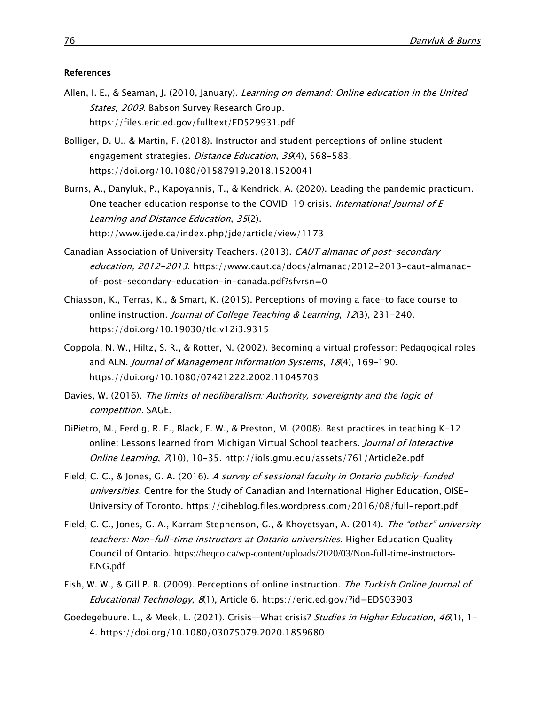#### References

- Allen, I. E., & Seaman, J. (2010, January). Learning on demand: Online education in the United States, 2009. Babson Survey Research Group. <https://files.eric.ed.gov/fulltext/ED529931.pdf>
- Bolliger, D. U., & Martin, F. (2018). Instructor and student perceptions of online student engagement strategies. Distance Education, 39(4), 568-583. <https://doi.org/10.1080/01587919.2018.1520041>
- Burns, A., Danyluk, P., Kapoyannis, T., & Kendrick, A. (2020). Leading the pandemic practicum. One teacher education response to the COVID-19 crisis. *International Journal of E-*Learning and Distance Education, 35(2). <http://www.ijede.ca/index.php/jde/article/view/1173>
- Canadian Association of University Teachers. (2013). CAUT almanac of post-secondary education, 2012-2013. [https://www.caut.ca/docs/almanac/2012-2013-caut-almanac](https://www.caut.ca/docs/almanac/2012-2013-caut-almanac-of-post-secondary-education-in-canada.pdf?sfvrsn=0)[of-post-secondary-education-in-canada.pdf?sfvrsn=0](https://www.caut.ca/docs/almanac/2012-2013-caut-almanac-of-post-secondary-education-in-canada.pdf?sfvrsn=0)
- Chiasson, K., Terras, K., & Smart, K. (2015). Perceptions of moving a face-to face course to online instruction. Journal of College Teaching & Learning,  $12(3)$ ,  $231-240$ . <https://doi.org/10.19030/tlc.v12i3.9315>
- Coppola, N. W., Hiltz, S. R., & Rotter, N. (2002). Becoming a virtual professor: Pedagogical roles and ALN. Journal of Management Information Systems, 18(4), 169-190. <https://doi.org/10.1080/07421222.2002.11045703>
- Davies, W. (2016). The limits of neoliberalism: Authority, sovereignty and the logic of [competition.](http://www.uk.sagepub.com/books/Book240650?seriesId=Series694&fs=1#tabview=title) SAGE.
- DiPietro, M., Ferdig, R. E., Black, E. W., & Preston, M. (2008). Best practices in teaching K-12 online: Lessons learned from Michigan Virtual School teachers. Journal of Interactive Online Learning, <sup>7</sup>(10), 10-35. <http://iols.gmu.edu/assets/761/Article2e.pdf>
- Field, C. C., & Jones, G. A. (2016). A survey of sessional faculty in Ontario publicly-funded universities. Centre for the Study of Canadian and International Higher Education, OISE-University of Toronto.<https://ciheblog.files.wordpress.com/2016/08/full-report.pdf>
- Field, C. C., Jones, G. A., Karram Stephenson, G., & Khoyetsyan, A. (2014). The "other" university teachers: Non-full-time instructors at Ontario universities. Higher Education Quality Council of Ontario. [https://heqco.ca/wp-content/uploads/2020/03/Non-full-time-instructors-](https://heqco.ca/wp-content/uploads/2020/03/Non-full-time-instructors-ENG.pdf)[ENG.pdf](https://heqco.ca/wp-content/uploads/2020/03/Non-full-time-instructors-ENG.pdf)
- Fish, W. W., & Gill P. B. (2009). Perceptions of online instruction. The Turkish Online Journal of Educational Technology, 8(1), Article 6. [https://eric.ed.gov/?id=ED503903](https://eric.ed.gov/?id=ED503903%20)
- Goedegebuure. L., & Meek, L. (2021). Crisis—What crisis? Studies in Higher Education, 46(1), 1-4. <https://doi.org/10.1080/03075079.2020.1859680>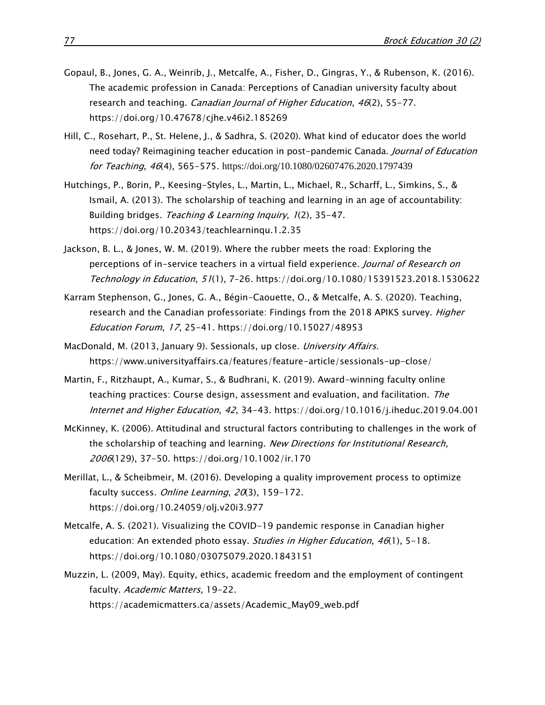- Gopaul, B., Jones, G. A., Weinrib, J., Metcalfe, A., Fisher, D., Gingras, Y., & Rubenson, K. (2016). The academic profession in Canada: Perceptions of Canadian university faculty about research and teaching. Canadian Journal of Higher Education, 46(2), 55-77. <https://doi.org/10.47678/cjhe.v46i2.185269>
- Hill, C., Rosehart, P., St. Helene, J., & Sadhra, S. (2020). What kind of educator does the world need today? Reimagining teacher education in post-pandemic Canada. Journal of Education for Teaching, <sup>46</sup>(4), 565-575. <https://doi.org/10.1080/02607476.2020.1797439>
- Hutchings, P., Borin, P., Keesing-Styles, L., Martin, L., Michael, R., Scharff, L., Simkins, S., & Ismail, A. (2013). The scholarship of teaching and learning in an age of accountability: Building bridges. Teaching & Learning Inquiry, 1(2), 35-47. <https://doi.org/10.20343/teachlearninqu.1.2.35>
- Jackson, B. L., & Jones, W. M. (2019). Where the rubber meets the road: Exploring the perceptions of in-service teachers in a virtual field experience. Journal of Research on Technology in Education, 51(1), 7–26.<https://doi.org/10.1080/15391523.2018.1530622>
- Karram Stephenson, G., Jones, G. A., Bégin-Caouette, O., & Metcalfe, A. S. (2020). Teaching, research and the Canadian professoriate: Findings from the 2018 APIKS survey. Higher Education Forum, 17, 25-41.<https://doi.org/10.15027/48953>
- MacDonald, M. (2013, January 9). Sessionals, up close. University Affairs[.](https://www.universityaffairs.ca/features/feature-article/sessionals-up-close/) <https://www.universityaffairs.ca/features/feature-article/sessionals-up-close/>
- Martin, F., Ritzhaupt, A., Kumar, S., & Budhrani, K. (2019). Award-winning faculty online teaching practices: Course design, assessment and evaluation, and facilitation. The Internet and Higher Education, 42, 34-43.<https://doi.org/10.1016/j.iheduc.2019.04.001>
- McKinney, K. (2006). Attitudinal and structural factors contributing to challenges in the work of the scholarship of teaching and learning. New Directions for Institutional Research, 2006(129), 37-50.<https://doi.org/10.1002/ir.170>
- Merillat, L., & Scheibmeir, M. (2016). Developing a quality improvement process to optimize faculty success. Online Learning, 20(3), 159-172. <https://doi.org/10.24059/olj.v20i3.977>
- Metcalfe, A. S. (2021). Visualizing the COVID-19 pandemic response in Canadian higher education: An extended photo essay. Studies in Higher Education, 46(1), 5-18. <https://doi.org/10.1080/03075079.2020.1843151>
- Muzzin, L. (2009, May). Equity, ethics, academic freedom and the employment of contingent faculty. Academic Matters, 19-22. [https://academicmatters.ca/assets/Academic\\_May09\\_web.pdf](https://academicmatters.ca/assets/Academic_May09_web.pdf)